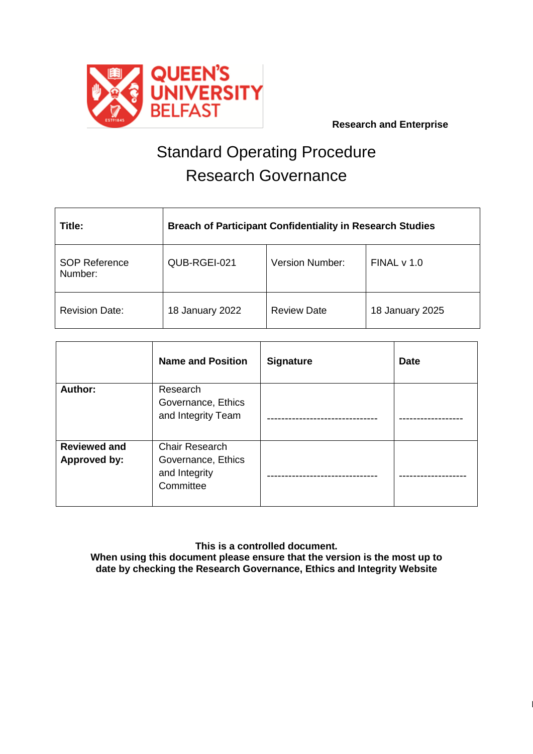

Page **1** of **4**

# Standard Operating Procedure Research Governance

| Title:                          | <b>Breach of Participant Confidentiality in Research Studies</b> |                        |                 |  |
|---------------------------------|------------------------------------------------------------------|------------------------|-----------------|--|
| <b>SOP Reference</b><br>Number: | QUB-RGEI-021                                                     | <b>Version Number:</b> | FINAL v 1.0     |  |
| <b>Revision Date:</b>           | 18 January 2022                                                  | <b>Review Date</b>     | 18 January 2025 |  |

|                                            | <b>Name and Position</b>                                                  | <b>Signature</b> | <b>Date</b> |
|--------------------------------------------|---------------------------------------------------------------------------|------------------|-------------|
| Author:                                    | Research<br>Governance, Ethics<br>and Integrity Team                      |                  |             |
| <b>Reviewed and</b><br><b>Approved by:</b> | <b>Chair Research</b><br>Governance, Ethics<br>and Integrity<br>Committee |                  |             |

**This is a controlled document. When using this document please ensure that the version is the most up to date by checking the Research Governance, Ethics and Integrity Website**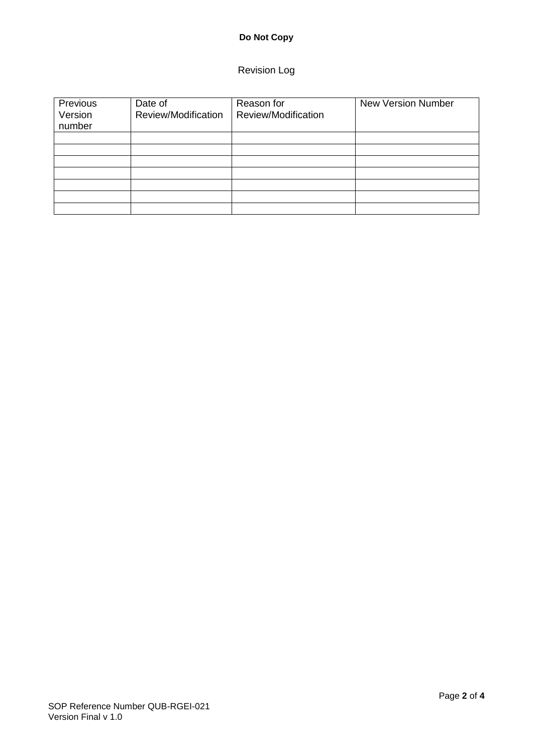# **Do Not Copy**

# Revision Log

| Previous<br>Version<br>number | Date of<br>Review/Modification | Reason for<br>Review/Modification | <b>New Version Number</b> |
|-------------------------------|--------------------------------|-----------------------------------|---------------------------|
|                               |                                |                                   |                           |
|                               |                                |                                   |                           |
|                               |                                |                                   |                           |
|                               |                                |                                   |                           |
|                               |                                |                                   |                           |
|                               |                                |                                   |                           |
|                               |                                |                                   |                           |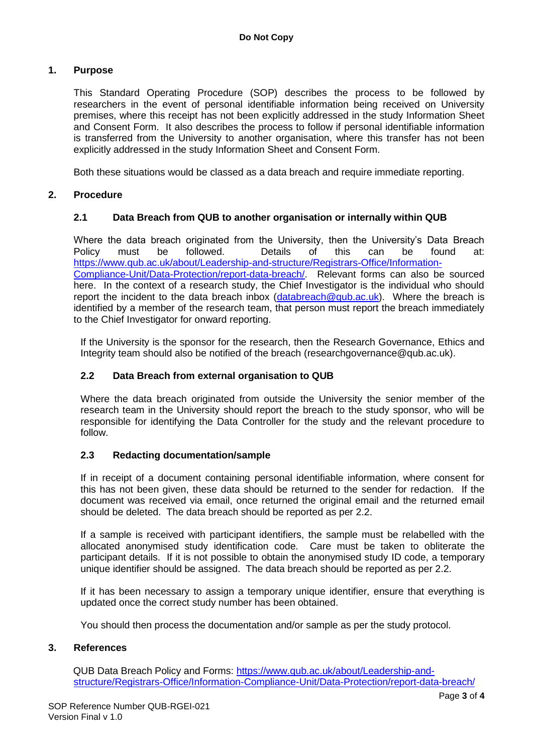## **1. Purpose**

This Standard Operating Procedure (SOP) describes the process to be followed by researchers in the event of personal identifiable information being received on University premises, where this receipt has not been explicitly addressed in the study Information Sheet and Consent Form. It also describes the process to follow if personal identifiable information is transferred from the University to another organisation, where this transfer has not been explicitly addressed in the study Information Sheet and Consent Form.

Both these situations would be classed as a data breach and require immediate reporting.

## **2. Procedure**

## **2.1 Data Breach from QUB to another organisation or internally within QUB**

Where the data breach originated from the University, then the University's Data Breach Policy must be followed. Details of this can be found at: [https://www.qub.ac.uk/about/Leadership-and-structure/Registrars-Office/Information-](https://www.qub.ac.uk/about/Leadership-and-structure/Registrars-Office/Information-Compliance-Unit/Data-Protection/report-data-breach/)[Compliance-Unit/Data-Protection/report-data-breach/.](https://www.qub.ac.uk/about/Leadership-and-structure/Registrars-Office/Information-Compliance-Unit/Data-Protection/report-data-breach/) Relevant forms can also be sourced here. In the context of a research study, the Chief Investigator is the individual who should report the incident to the data breach inbox  $(d \text{atabreak} \otimes \text{qub} \cdot \text{ac.uk})$ . Where the breach is identified by a member of the research team, that person must report the breach immediately to the Chief Investigator for onward reporting.

If the University is the sponsor for the research, then the Research Governance, Ethics and Integrity team should also be notified of the breach (researchgovernance@qub.ac.uk).

#### **2.2 Data Breach from external organisation to QUB**

Where the data breach originated from outside the University the senior member of the research team in the University should report the breach to the study sponsor, who will be responsible for identifying the Data Controller for the study and the relevant procedure to follow.

#### **2.3 Redacting documentation/sample**

If in receipt of a document containing personal identifiable information, where consent for this has not been given, these data should be returned to the sender for redaction. If the document was received via email, once returned the original email and the returned email should be deleted. The data breach should be reported as per 2.2.

If a sample is received with participant identifiers, the sample must be relabelled with the allocated anonymised study identification code. Care must be taken to obliterate the participant details. If it is not possible to obtain the anonymised study ID code, a temporary unique identifier should be assigned. The data breach should be reported as per 2.2.

If it has been necessary to assign a temporary unique identifier, ensure that everything is updated once the correct study number has been obtained.

You should then process the documentation and/or sample as per the study protocol.

#### **3. References**

QUB Data Breach Policy and Forms: [https://www.qub.ac.uk/about/Leadership-and](https://www.qub.ac.uk/about/Leadership-and-structure/Registrars-Office/Information-Compliance-Unit/Data-Protection/report-data-breach/)[structure/Registrars-Office/Information-Compliance-Unit/Data-Protection/report-data-breach/](https://www.qub.ac.uk/about/Leadership-and-structure/Registrars-Office/Information-Compliance-Unit/Data-Protection/report-data-breach/)